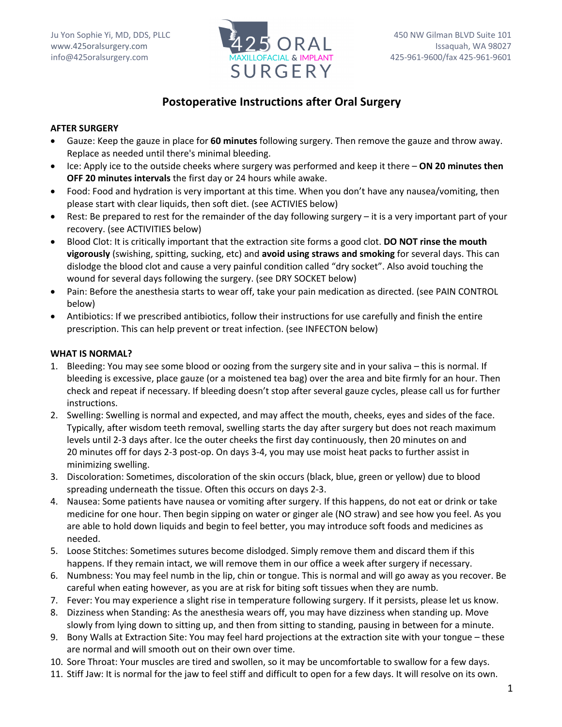

# **Postoperative Instructions after Oral Surgery**

## **AFTER SURGERY**

- Gauze: Keep the gauze in place for **60 minutes** following surgery. Then remove the gauze and throw away. Replace as needed until there's minimal bleeding.
- Ice: Apply ice to the outside cheeks where surgery was performed and keep it there **ON 20 minutes then OFF 20 minutes intervals** the first day or 24 hours while awake.
- Food: Food and hydration is very important at this time. When you don't have any nausea/vomiting, then please start with clear liquids, then soft diet. (see ACTIVIES below)
- Rest: Be prepared to rest for the remainder of the day following surgery it is a very important part of your recovery. (see ACTIVITIES below)
- Blood Clot: It is critically important that the extraction site forms a good clot. **DO NOT rinse the mouth vigorously** (swishing, spitting, sucking, etc) and **avoid using straws and smoking** for several days. This can dislodge the blood clot and cause a very painful condition called "dry socket". Also avoid touching the wound for several days following the surgery. (see DRY SOCKET below)
- Pain: Before the anesthesia starts to wear off, take your pain medication as directed. (see PAIN CONTROL below)
- Antibiotics: If we prescribed antibiotics, follow their instructions for use carefully and finish the entire prescription. This can help prevent or treat infection. (see INFECTON below)

### **WHAT IS NORMAL?**

- 1. Bleeding: You may see some blood or oozing from the surgery site and in your saliva this is normal. If bleeding is excessive, place gauze (or a moistened tea bag) over the area and bite firmly for an hour. Then check and repeat if necessary. If bleeding doesn't stop after several gauze cycles, please call us for further instructions.
- 2. Swelling: Swelling is normal and expected, and may affect the mouth, cheeks, eyes and sides of the face. Typically, after wisdom teeth removal, swelling starts the day after surgery but does not reach maximum levels until 2-3 days after. Ice the outer cheeks the first day continuously, then 20 minutes on and 20 minutes off for days 2-3 post-op. On days 3-4, you may use moist heat packs to further assist in minimizing swelling.
- 3. Discoloration: Sometimes, discoloration of the skin occurs (black, blue, green or yellow) due to blood spreading underneath the tissue. Often this occurs on days 2-3.
- 4. Nausea: Some patients have nausea or vomiting after surgery. If this happens, do not eat or drink or take medicine for one hour. Then begin sipping on water or ginger ale (NO straw) and see how you feel. As you are able to hold down liquids and begin to feel better, you may introduce soft foods and medicines as needed.
- 5. Loose Stitches: Sometimes sutures become dislodged. Simply remove them and discard them if this happens. If they remain intact, we will remove them in our office a week after surgery if necessary.
- 6. Numbness: You may feel numb in the lip, chin or tongue. This is normal and will go away as you recover. Be careful when eating however, as you are at risk for biting soft tissues when they are numb.
- 7. Fever: You may experience a slight rise in temperature following surgery. If it persists, please let us know.
- 8. Dizziness when Standing: As the anesthesia wears off, you may have dizziness when standing up. Move slowly from lying down to sitting up, and then from sitting to standing, pausing in between for a minute.
- 9. Bony Walls at Extraction Site: You may feel hard projections at the extraction site with your tongue these are normal and will smooth out on their own over time.
- 10. Sore Throat: Your muscles are tired and swollen, so it may be uncomfortable to swallow for a few days.
- 11. Stiff Jaw: It is normal for the jaw to feel stiff and difficult to open for a few days. It will resolve on its own.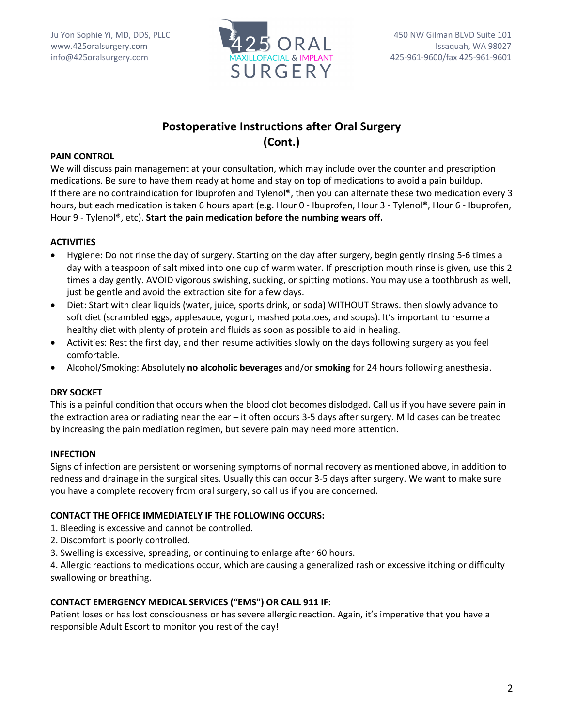

# **Postoperative Instructions after Oral Surgery (Cont.)**

## **PAIN CONTROL**

We will discuss pain management at your consultation, which may include over the counter and prescription medications. Be sure to have them ready at home and stay on top of medications to avoid a pain buildup. If there are no contraindication for Ibuprofen and Tylenol®, then you can alternate these two medication every 3 hours, but each medication is taken 6 hours apart (e.g. Hour 0 - Ibuprofen, Hour 3 - Tylenol®, Hour 6 - Ibuprofen, Hour 9 - Tylenol®, etc). **Start the pain medication before the numbing wears off.**

### **ACTIVITIES**

- Hygiene: Do not rinse the day of surgery. Starting on the day after surgery, begin gently rinsing 5-6 times a day with a teaspoon of salt mixed into one cup of warm water. If prescription mouth rinse is given, use this 2 times a day gently. AVOID vigorous swishing, sucking, or spitting motions. You may use a toothbrush as well, just be gentle and avoid the extraction site for a few days.
- Diet: Start with clear liquids (water, juice, sports drink, or soda) WITHOUT Straws. then slowly advance to soft diet (scrambled eggs, applesauce, yogurt, mashed potatoes, and soups). It's important to resume a healthy diet with plenty of protein and fluids as soon as possible to aid in healing.
- Activities: Rest the first day, and then resume activities slowly on the days following surgery as you feel comfortable.
- Alcohol/Smoking: Absolutely **no alcoholic beverages** and/or **smoking** for 24 hours following anesthesia.

## **DRY SOCKET**

This is a painful condition that occurs when the blood clot becomes dislodged. Call us if you have severe pain in the extraction area or radiating near the ear – it often occurs 3-5 days after surgery. Mild cases can be treated by increasing the pain mediation regimen, but severe pain may need more attention.

## **INFECTION**

Signs of infection are persistent or worsening symptoms of normal recovery as mentioned above, in addition to redness and drainage in the surgical sites. Usually this can occur 3-5 days after surgery. We want to make sure you have a complete recovery from oral surgery, so call us if you are concerned.

#### **CONTACT THE OFFICE IMMEDIATELY IF THE FOLLOWING OCCURS:**

- 1. Bleeding is excessive and cannot be controlled.
- 2. Discomfort is poorly controlled.
- 3. Swelling is excessive, spreading, or continuing to enlarge after 60 hours.

4. Allergic reactions to medications occur, which are causing a generalized rash or excessive itching or difficulty swallowing or breathing.

## **CONTACT EMERGENCY MEDICAL SERVICES ("EMS") OR CALL 911 IF:**

Patient loses or has lost consciousness or has severe allergic reaction. Again, it's imperative that you have a responsible Adult Escort to monitor you rest of the day!